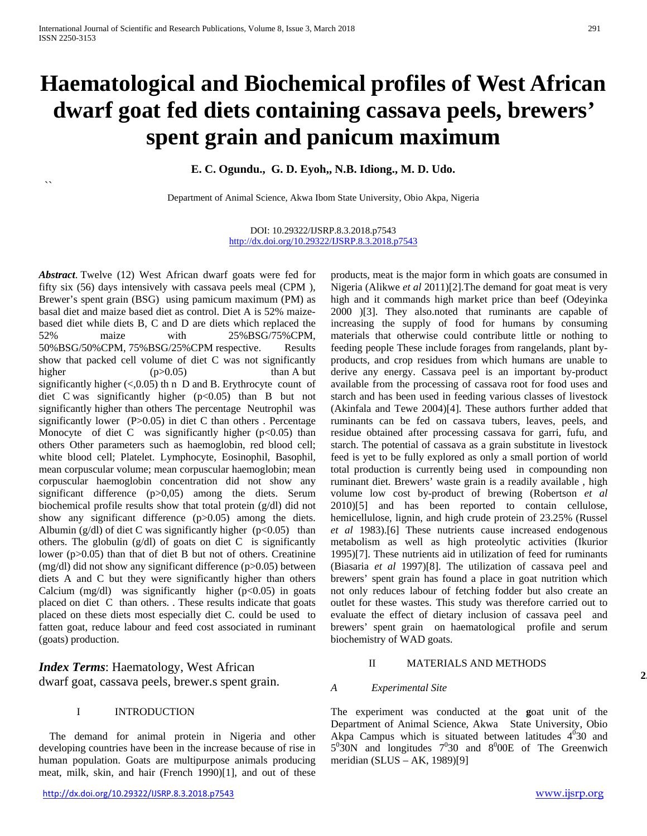$\overline{\phantom{a}}$ 

# **Haematological and Biochemical profiles of West African dwarf goat fed diets containing cassava peels, brewers' spent grain and panicum maximum**

**E. C. Ogundu., G. D. Eyoh,, N.B. Idiong., M. D. Udo.**

Department of Animal Science, Akwa Ibom State University, Obio Akpa, Nigeria

DOI: 10.29322/IJSRP.8.3.2018.p7543 <http://dx.doi.org/10.29322/IJSRP.8.3.2018.p7543>

*Abstract*. Twelve (12) West African dwarf goats were fed for fifty six (56) days intensively with cassava peels meal (CPM ), Brewer's spent grain (BSG) using pamicum maximum (PM) as basal diet and maize based diet as control. Diet A is 52% maizebased diet while diets B, C and D are diets which replaced the 52% maize with 25%BSG/75%CPM, 50%BSG/50%CPM, 75%BSG/25%CPM respective. Results show that packed cell volume of diet C was not significantly higher  $(p>0.05)$  than A but significantly higher  $(<,0.05)$  th n D and B. Erythrocyte count of diet C was significantly higher (p<0.05) than B but not significantly higher than others The percentage Neutrophil was significantly lower ( $P > 0.05$ ) in diet C than others . Percentage Monocyte of diet C was significantly higher  $(p<0.05)$  than others Other parameters such as haemoglobin, red blood cell; white blood cell; Platelet. Lymphocyte, Eosinophil, Basophil, mean corpuscular volume; mean corpuscular haemoglobin; mean corpuscular haemoglobin concentration did not show any significant difference (p>0,05) among the diets. Serum biochemical profile results show that total protein (g/dl) did not show any significant difference (p>0.05) among the diets. Albumin (g/dl) of diet C was significantly higher ( $p<0.05$ ) than others. The globulin  $(g/dl)$  of goats on diet C is significantly lower (p>0.05) than that of diet B but not of others. Creatinine (mg/dl) did not show any significant difference (p>0.05) between diets A and C but they were significantly higher than others Calcium  $(mg/dl)$  was significantly higher  $(p<0.05)$  in goats placed on diet C than others. . These results indicate that goats placed on these diets most especially diet C. could be used to fatten goat, reduce labour and feed cost associated in ruminant (goats) production.

*Index Terms*: Haematology, West African dwarf goat, cassava peels, brewer.s spent grain.

## I INTRODUCTION

 The demand for animal protein in Nigeria and other developing countries have been in the increase because of rise in human population. Goats are multipurpose animals producing meat, milk, skin, and hair (French 1990)[1], and out of these products, meat is the major form in which goats are consumed in Nigeria (Alikwe *et al* 2011)[2].The demand for goat meat is very high and it commands high market price than beef (Odeyinka 2000 )[3]. They also.noted that ruminants are capable of increasing the supply of food for humans by consuming materials that otherwise could contribute little or nothing to feeding people These include forages from rangelands, plant byproducts, and crop residues from which humans are unable to derive any energy. Cassava peel is an important by-product available from the processing of cassava root for food uses and starch and has been used in feeding various classes of livestock (Akinfala and Tewe 2004)[4]. These authors further added that ruminants can be fed on cassava tubers, leaves, peels, and residue obtained after processing cassava for garri, fufu, and starch. The potential of cassava as a grain substitute in livestock feed is yet to be fully explored as only a small portion of world total production is currently being used in compounding non ruminant diet. Brewers' waste grain is a readily available , high volume low cost by-product of brewing (Robertson *et al* 2010)[5] and has been reported to contain cellulose, hemicellulose, lignin, and high crude protein of 23.25% (Russel *et al* 1983).[6] These nutrients cause increased endogenous metabolism as well as high proteolytic activities (Ikurior 1995)[7]. These nutrients aid in utilization of feed for ruminants (Biasaria *et al* 1997)[8]. The utilization of cassava peel and brewers' spent grain has found a place in goat nutrition which not only reduces labour of fetching fodder but also create an outlet for these wastes. This study was therefore carried out to evaluate the effect of dietary inclusion of cassava peel and brewers' spent grain on haematological profile and serum biochemistry of WAD goats.

# II MATERIALS AND METHODS

#### *A Experimental Site*

The experiment was conducted at the **g**oat unit of the Department of Animal Science, Akwa State University, Obio Akpa Campus which is situated between latitudes  $4^{0}30$  and  $5^0$ 30N and longitudes  $7^0$ 30 and  $8^0$ 00E of The Greenwich meridian (SLUS – AK, 1989)[9]

**2.**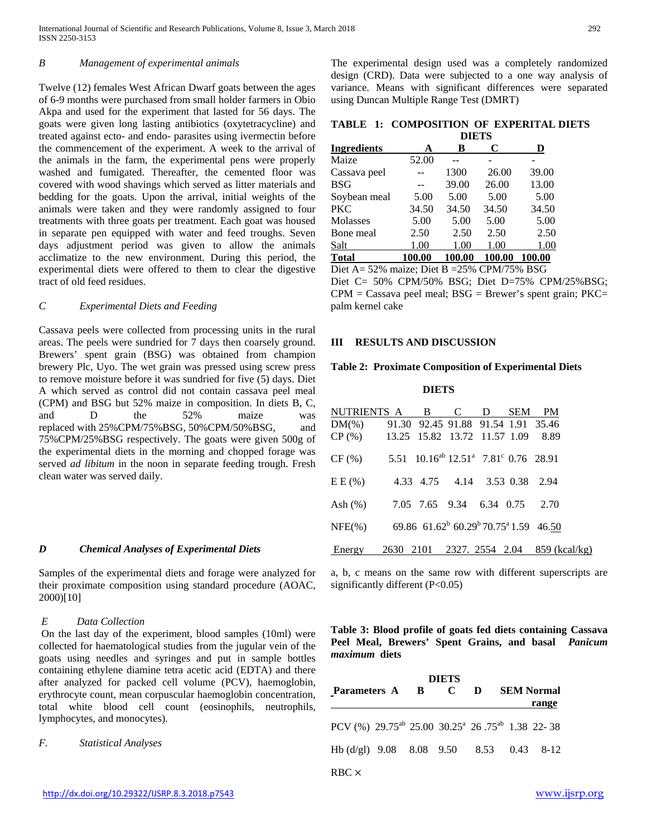## *B Management of experimental animals*

Twelve (12) females West African Dwarf goats between the ages of 6-9 months were purchased from small holder farmers in Obio Akpa and used for the experiment that lasted for 56 days. The goats were given long lasting antibiotics (oxytetracycline) and treated against ecto- and endo- parasites using ivermectin before the commencement of the experiment. A week to the arrival of the animals in the farm, the experimental pens were properly washed and fumigated. Thereafter, the cemented floor was covered with wood shavings which served as litter materials and bedding for the goats. Upon the arrival, initial weights of the animals were taken and they were randomly assigned to four treatments with three goats per treatment. Each goat was housed in separate pen equipped with water and feed troughs. Seven days adjustment period was given to allow the animals acclimatize to the new environment. During this period, the experimental diets were offered to them to clear the digestive tract of old feed residues.

#### *C Experimental Diets and Feeding*

Cassava peels were collected from processing units in the rural areas. The peels were sundried for 7 days then coarsely ground. Brewers' spent grain (BSG) was obtained from champion brewery Plc, Uyo. The wet grain was pressed using screw press to remove moisture before it was sundried for five (5) days. Diet A which served as control did not contain cassava peel meal (CPM) and BSG but 52% maize in composition. In diets B, C, and D the 52% maize was replaced with 25%CPM/75%BSG, 50%CPM/50%BSG, and 75%CPM/25%BSG respectively. The goats were given 500g of the experimental diets in the morning and chopped forage was served *ad libitum* in the noon in separate feeding trough. Fresh clean water was served daily.

## *D Chemical Analyses of Experimental Diets*

Samples of the experimental diets and forage were analyzed for their proximate composition using standard procedure (AOAC, 2000)[10]

#### *E Data Collection*

On the last day of the experiment, blood samples (10ml) were collected for haematological studies from the jugular vein of the goats using needles and syringes and put in sample bottles containing ethylene diamine tetra acetic acid (EDTA) and there after analyzed for packed cell volume (PCV), haemoglobin, erythrocyte count, mean corpuscular haemoglobin concentration, total white blood cell count (eosinophils, neutrophils, lymphocytes, and monocytes).

## *F. Statistical Analyses*

The experimental design used was a completely randomized design (CRD). Data were subjected to a one way analysis of variance. Means with significant differences were separated using Duncan Multiple Range Test (DMRT)

**TABLE 1: COMPOSITION OF EXPERITAL DIETS**

|              |        | <b>DIETS</b> |        |        |  |  |
|--------------|--------|--------------|--------|--------|--|--|
| Ingredients  | A      | в            | C      | D      |  |  |
| Maize        | 52.00  |              |        |        |  |  |
| Cassava peel |        | 1300         | 26.00  | 39.00  |  |  |
| BSG          |        | 39.00        | 26.00  | 13.00  |  |  |
| Soybean meal | 5.00   | 5.00         | 5.00   | 5.00   |  |  |
| PKC          | 34.50  | 34.50        | 34.50  | 34.50  |  |  |
| Molasses     | 5.00   | 5.00         | 5.00   | 5.00   |  |  |
| Bone meal    | 2.50   | 2.50         | 2.50   | 2.50   |  |  |
| Salt         | 1.00   | 1.00         | 1.00   | 1.00   |  |  |
| Total        | 100.00 | 100.00       | 100.00 | 100.00 |  |  |

Diet A= 52% maize; Diet B =25% CPM/75% BSG Diet C= 50% CPM/50% BSG; Diet D=75% CPM/25%BSG;  $CPM =$  Cassava peel meal;  $BSG =$  Brewer's spent grain;  $PKC =$ palm kernel cake

#### **III RESULTS AND DISCUSSION**

#### **Table 2: Proximate Composition of Experimental Diets**

 **DIETS**

| NUTRIENTS A B C D SEM PM                                                          |  |  |                                         |
|-----------------------------------------------------------------------------------|--|--|-----------------------------------------|
| DM(%) 91.30 92.45 91.88 91.54 1.91 35.46                                          |  |  |                                         |
| $CP (\%)$ 13.25 15.82 13.72 11.57 1.09                                            |  |  | 8.89                                    |
| $CF (%)$ 5.51 10.16 <sup>ab</sup> 12.51 <sup>a</sup> 7.81 <sup>c</sup> 0.76 28.91 |  |  |                                         |
| E E (%) 4.33 4.75 4.14 3.53 0.38 2.94                                             |  |  |                                         |
| Ash (%) 7.05 7.65 9.34 6.34 0.75 2.70                                             |  |  |                                         |
| NFE(%) 69.86 61.62 <sup>b</sup> 60.29 <sup>b</sup> 70.75 <sup>a</sup> 1.59 46.50  |  |  |                                         |
| Energy                                                                            |  |  | 2630 2101 2327. 2554 2.04 859 (kcal/kg) |

a, b, c means on the same row with different superscripts are significantly different (P<0.05)

**Table 3: Blood profile of goats fed diets containing Cassava Peel Meal, Brewers' Spent Grains, and basal** *Panicum maximum* **diets**

| <b>DIETS</b>                                                                        |  |  |  |  |  |                   |  |  |
|-------------------------------------------------------------------------------------|--|--|--|--|--|-------------------|--|--|
| Parameters A B C D                                                                  |  |  |  |  |  | <b>SEM Normal</b> |  |  |
|                                                                                     |  |  |  |  |  | range             |  |  |
| PCV (%) 29.75 <sup>ab</sup> 25.00 30.25 <sup>a</sup> 26.75 <sup>ab</sup> 1.38 22-38 |  |  |  |  |  |                   |  |  |
| Hb (d/gl) $9.08$ $8.08$ $9.50$ $8.53$ $0.43$ $8-12$                                 |  |  |  |  |  |                   |  |  |
| $RBC \times$                                                                        |  |  |  |  |  |                   |  |  |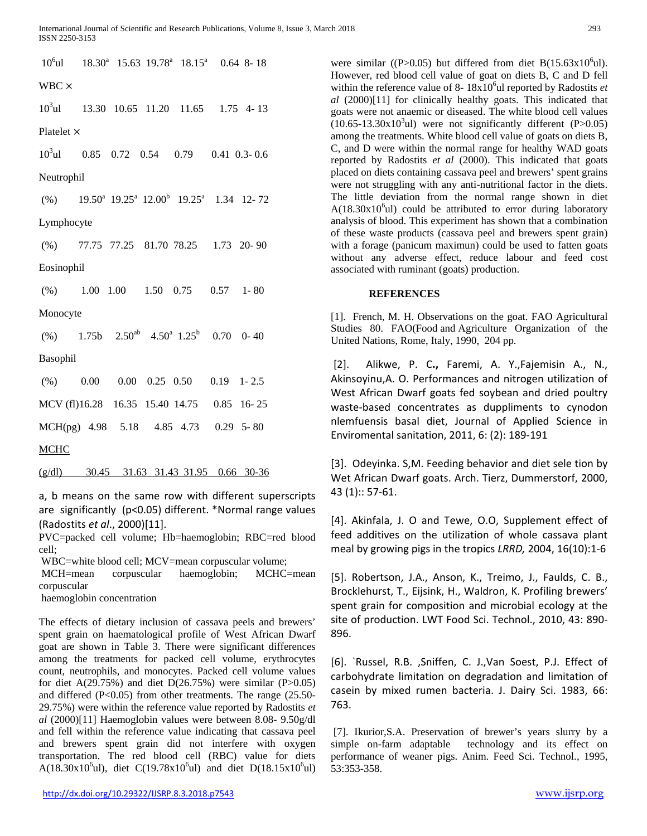$10<sup>6</sup>$ ul ul 18.30<sup>a</sup> 15.63 19.78<sup>a</sup> 18.15<sup>a</sup> 0.64 8- 18 WBC ×  $10<sup>3</sup>$ ul ul 13.30 10.65 11.20 11.65 1.75 4- 13 Platelet ×  $10<sup>3</sup>$ ul ul 0.85 0.72 0.54 0.79 0.41 0.3- 0.6 Neutrophil  $(\%)$  19.50<sup>a</sup> 19.25<sup>a</sup> 12.00<sup>b</sup> 19.25<sup>a</sup> 1.34 12- 72 Lymphocyte (%) 77.75 77.25 81.70 78.25 1.73 20- 90 Eosinophil (%) 1.00 1.00 1.50 0.75 0.57 1- 80 Monocyte (%) 1.75b  $2.50^{ab}$  4.50<sup>a</sup> 1.25<sup>b</sup> 0.70 0- 40 Basophil (%) 0.00 0.00 0.25 0.50 0.19 1- 2.5 MCV (fl)16.28 16.35 15.40 14.75 0.85 16- 25 MCH(pg) 4.98 5.18 4.85 4.73 0.29 5- 80 **MCHC** (g/dl) 30.45 31.63 31.43 31.95 0.66 30-36

a, b means on the same row with different superscripts are significantly (p<0.05) different. \*Normal range values (Radostits *et al*., 2000)[11].

PVC=packed cell volume; Hb=haemoglobin; RBC=red blood cell;

WBC=white blood cell; MCV=mean corpuscular volume;

MCH=mean corpuscular haemoglobin; MCHC=mean corpuscular

haemoglobin concentration

The effects of dietary inclusion of cassava peels and brewers' spent grain on haematological profile of West African Dwarf goat are shown in Table 3. There were significant differences among the treatments for packed cell volume, erythrocytes count, neutrophils, and monocytes. Packed cell volume values for diet A(29.75%) and diet D(26.75%) were similar (P $>0.05$ ) and differed (P<0.05) from other treatments. The range (25.50- 29.75%) were within the reference value reported by Radostits *et al* (2000)[11] Haemoglobin values were between 8.08- 9.50g/dl and fell within the reference value indicating that cassava peel and brewers spent grain did not interfere with oxygen transportation. The red blood cell (RBC) value for diets A(18.30x10<sup>6</sup>ul), diet C(19.78x10<sup>6</sup>ul) and diet D(18.15x10<sup>6</sup>ul)

were similar ((P>0.05) but differed from diet  $B(15.63 \times 10^6 \text{u})$ . However, red blood cell value of goat on diets B, C and D fell within the reference value of  $8 - 18x10<sup>6</sup>$ ul reported by Radostits *et al* (2000)[11] for clinically healthy goats. This indicated that goats were not anaemic or diseased. The white blood cell values  $(10.65-13.30 \times 10^{3} \text{u})$  were not significantly different (P $>0.05$ ) among the treatments. White blood cell value of goats on diets B, C, and D were within the normal range for healthy WAD goats reported by Radostits *et al* (2000). This indicated that goats placed on diets containing cassava peel and brewers' spent grains were not struggling with any anti-nutritional factor in the diets. The little deviation from the normal range shown in diet  $A(18.30x10<sup>6</sup>ul)$  could be attributed to error during laboratory analysis of blood. This experiment has shown that a combination of these waste products (cassava peel and brewers spent grain) with a forage (panicum maximun) could be used to fatten goats without any adverse effect, reduce labour and feed cost associated with ruminant (goats) production.

## **REFERENCES**

[1]. French, M. H. Observations on the goat. FAO Agricultural Studies 80. FAO(Food and Agriculture Organization of the United Nations*,* Rome, Italy, 1990, 204 pp.

[2]. Alikwe, P. C**.,** Faremi, A. Y.,Fajemisin A., N., Akinsoyinu,A. O. Performances and nitrogen utilization of West African Dwarf goats fed soybean and dried poultry waste-based concentrates as duppliments to cynodon nlemfuensis basal diet, Journal of Applied Science in Enviromental sanitation, 2011, 6: (2): 189-191

[3]. Odeyinka. S,M. Feeding behavior and diet sele tion by Wet African Dwarf goats. Arch. Tierz, Dummerstorf, 2000, 43 (1):: 57-61.

[4]. Akinfala, J. O and Tewe, O.O, Supplement effect of feed additives on the utilization of whole cassava plant meal by growing pigs in the tropics *LRRD,* 2004, 16(10):1-6

[5]. Robertson, J.A., Anson, K., Treimo, J., Faulds, C. B., Brocklehurst, T., Eijsink, H., Waldron, K. Profiling brewers' spent grain for composition and microbial ecology at the site of production. LWT Food Sci. Technol., 2010, 43: 890- 896.

[6]. `Russel, R.B. ,Sniffen, C. J.,Van Soest, P.J. Effect of carbohydrate limitation on degradation and limitation of casein by mixed rumen bacteria. J. Dairy Sci. 1983, 66: 763.

[7]. Ikurior,S.A. Preservation of brewer's years slurry by a simple on-farm adaptable technology and its effect on performance of weaner pigs. Anim. Feed Sci. Technol., 1995, 53:353-358.